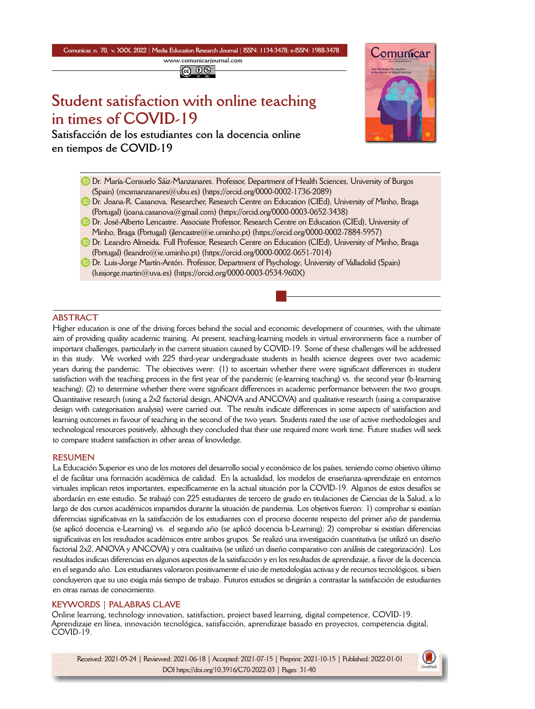**Comunicar, n. 70, v. XXX, 2022** *|* **Media Education Research Journal** *|* **ISSN: 1134-3478; e-ISSN: 1988-3478 <www.comunicarjournal.com>**

@ 0ම

# **Student satisfaction with online teaching in times of COVID-19**

**Satisfacción de los estudiantes con la docencia online en tiempos de COVID-19**



- Dr. María-Consuelo Sáiz-Manzanares. Professor, Department of Health Sciences, University of Burgos (Spain) [\(mcsmanzanares@ubu.es](mailto:mcsmanzanares@ubu.es)) [\(https://orcid.org/0000-0002-1736-2089\)](https://orcid.org/0000-0002-1736-2089)
- **D** Dr. Joana-R. Casanova. Researcher, Research Centre on Education (CIEd), University of Minho, Braga (Portugal) (joana.casanova $\textcircled{a}$ gmail.com) [\(https://orcid.org/0000-0003-0652-3438\)](https://orcid.org/0000-0003-0652-3438)
- Dr. José-Alberto Lencastre. Associate Professor, Research Centre on Education (CIEd), University of Minho, Braga (Portugal) ([jlencastre@ie.uminho.pt\)](mailto:jlencastre@ie.uminho.pt) [\(https://orcid.org/0000-0002-7884-5957\)](https://orcid.org/0000-0002-7884-5957)
- **D** Dr. Leandro Almeida. Full Professor, Research Centre on Education (CIEd), University of Minho, Braga (Portugal) ([leandro@ie.uminho.pt](mailto:leandro@ie.uminho.pt)) (<https://orcid.org/0000-0002-0651-7014>)
- Dr. Luis-Jorge Martín-Antón. Professor, Department of Psychology, University of Valladolid (Spain) [\(luisjorge.martin@uva.es](mailto:luisjorge.martin@uva.es)) (<https://orcid.org/0000-0003-0534-960X>)

### **ABSTRACT**

Higher education is one of the driving forces behind the social and economic development of countries, with the ultimate aim of providing quality academic training. At present, teaching-learning models in virtual environments face a number of important challenges, particularly in the current situation caused by COVID-19. Some of these challenges will be addressed in this study. We worked with 225 third-year undergraduate students in health science degrees over two academic years during the pandemic. The objectives were: (1) to ascertain whether there were significant differences in student satisfaction with the teaching process in the first year of the pandemic (e-learning teaching) vs. the second year (b-learning teaching); (2) to determine whether there were significant differences in academic performance between the two groups. Quantitative research (using a 2x2 factorial design, ANOVA and ANCOVA) and qualitative research (using a comparative design with categorisation analysis) were carried out. The results indicate differences in some aspects of satisfaction and learning outcomes in favour of teaching in the second of the two years. Students rated the use of active methodologies and technological resources positively, although they concluded that their use required more work time. Future studies will seek to compare student satisfaction in other areas of knowledge.

#### **RESUMEN**

La Educación Superior es uno de los motores del desarrollo social y económico de los países, teniendo como objetivo último el de facilitar una formación académica de calidad. En la actualidad, los modelos de enseñanza-aprendizaje en entornos virtuales implican retos importantes, específicamente en la actual situación por la COVID-19. Algunos de estos desafíos se abordarán en este estudio. Se trabajó con 225 estudiantes de tercero de grado en titulaciones de Ciencias de la Salud, a lo largo de dos cursos académicos impartidos durante la situación de pandemia. Los objetivos fueron: 1) comprobar si existían diferencias significativas en la satisfacción de los estudiantes con el proceso docente respecto del primer año de pandemia (se aplicó docencia e-Learning) vs. el segundo año (se aplicó docencia b-Learning); 2) comprobar si existían diferencias significativas en los resultados académicos entre ambos grupos. Se realizó una investigación cuantitativa (se utilizó un diseño factorial 2x2, ANOVA y ANCOVA) y otra cualitativa (se utilizó un diseño comparativo con análisis de categorización). Los resultados indican diferencias en algunos aspectos de la satisfacción y en los resultados de aprendizaje, a favor de la docencia en el segundo año. Los estudiantes valoraron positivamente el uso de metodologías activas y de recursos tecnológicos, si bien concluyeron que su uso exigía más tiempo de trabajo. Futuros estudios se dirigirán a contrastar la satisfacción de estudiantes en otras ramas de conocimiento.

### **KEYWORDS | PALABRAS CLAVE**

Online learning, technology innovation, satisfaction, project based learning, digital competence, COVID-19. Aprendizaje en línea, innovación tecnológica, satisfacción, aprendizaje basado en proyectos, competencia digital, COVID-19.

Received: 2021-05-24 | Reviewed: 2021-06-18 | Accepted: 2021-07-15 | Preprint: 2021-10-15 | Published: 2022-01-01 DOI https://doi.org/10.3916/C70-2022-03 | Pages: 31-40

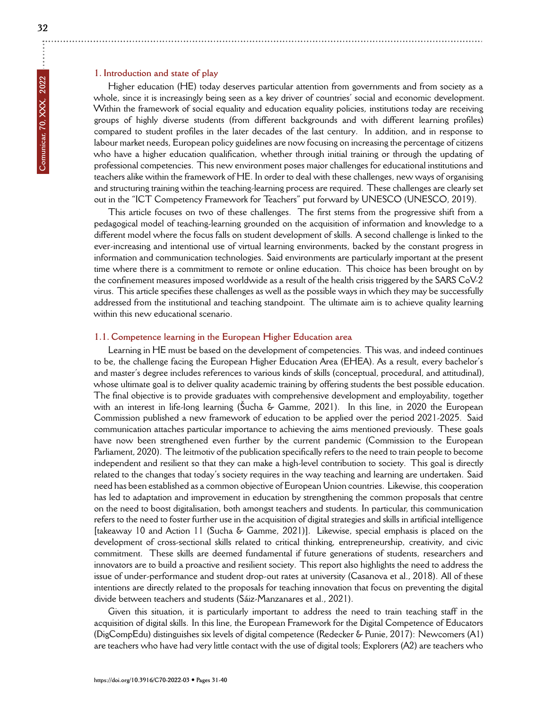# **1. Introduction and state of play**

Higher education (HE) today deserves particular attention from governments and from society as a whole, since it is increasingly being seen as a key driver of countries' social and economic development. Within the framework of social equality and education equality policies, institutions today are receiving groups of highly diverse students (from different backgrounds and with different learning profiles) compared to student profiles in the later decades of the last century. In addition, and in response to labour market needs, European policy guidelines are now focusing on increasing the percentage of citizens who have a higher education qualification, whether through initial training or through the updating of professional competencies. This new environment poses major challenges for educational institutions and teachers alike within the framework of HE. In order to deal with these challenges, new ways of organising and structuring training within the teaching-learning process are required. These challenges are clearly set out in the "ICT Competency Framework for Teachers" put forward by UNESCO (UNESCO, 2019).

This article focuses on two of these challenges. The first stems from the progressive shift from a pedagogical model of teaching-learning grounded on the acquisition of information and knowledge to a different model where the focus falls on student development of skills. A second challenge is linked to the ever-increasing and intentional use of virtual learning environments, backed by the constant progress in information and communication technologies. Said environments are particularly important at the present time where there is a commitment to remote or online education. This choice has been brought on by the confinement measures imposed worldwide as a result of the health crisis triggered by the SARS CoV-2 virus. This article specifies these challenges as well as the possible ways in which they may be successfully addressed from the institutional and teaching standpoint. The ultimate aim is to achieve quality learning within this new educational scenario.

### **1.1. Competence learning in the European Higher Education area**

Learning in HE must be based on the development of competencies. This was, and indeed continues to be, the challenge facing the European Higher Education Area (EHEA). As a result, every bachelor's and master's degree includes references to various kinds of skills (conceptual, procedural, and attitudinal), whose ultimate goal is to deliver quality academic training by offering students the best possible education. The final objective is to provide graduates with comprehensive development and employability, together with an interest in life-long learning (Šucha & Gamme, 2021). In this line, in 2020 the European Commission published a new framework of education to be applied over the period 2021-2025. Said communication attaches particular importance to achieving the aims mentioned previously. These goals have now been strengthened even further by the current pandemic (Commission to the European Parliament, 2020). The leitmotiv of the publication specifically refers to the need to train people to become independent and resilient so that they can make a high-level contribution to society. This goal is directly related to the changes that today's society requires in the way teaching and learning are undertaken. Said need has been established as a common objective of European Union countries. Likewise, this cooperation has led to adaptation and improvement in education by strengthening the common proposals that centre on the need to boost digitalisation, both amongst teachers and students. In particular, this communication refers to the need to foster further use in the acquisition of digital strategies and skills in artificial intelligence [takeaway 10 and Action 11 (Sucha & Gamme, 2021)]. Likewise, special emphasis is placed on the development of cross-sectional skills related to critical thinking, entrepreneurship, creativity, and civic commitment. These skills are deemed fundamental if future generations of students, researchers and innovators are to build a proactive and resilient society. This report also highlights the need to address the issue of under-performance and student drop-out rates at university (Casanova et al., 2018). All of these intentions are directly related to the proposals for teaching innovation that focus on preventing the digital divide between teachers and students (Sáiz-Manzanares et al., 2021).

Given this situation, it is particularly important to address the need to train teaching staff in the acquisition of digital skills. In this line, the European Framework for the Digital Competence of Educators (DigCompEdu) distinguishes six levels of digital competence (Redecker & Punie, 2017): Newcomers (A1) are teachers who have had very little contact with the use of digital tools; Explorers (A2) are teachers who

÷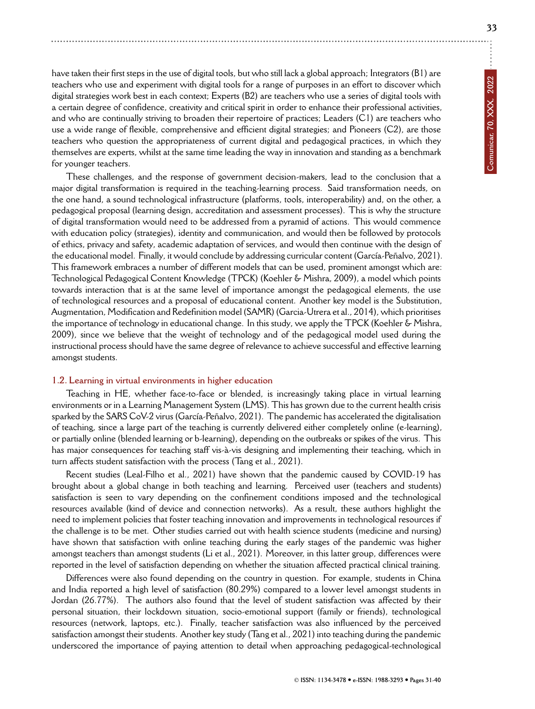have taken their first steps in the use of digital tools, but who still lack a global approach; Integrators (B1) are teachers who use and experiment with digital tools for a range of purposes in an effort to discover which digital strategies work best in each context; Experts (B2) are teachers who use a series of digital tools with a certain degree of confidence, creativity and critical spirit in order to enhance their professional activities, and who are continually striving to broaden their repertoire of practices; Leaders (C1) are teachers who use a wide range of flexible, comprehensive and efficient digital strategies; and Pioneers (C2), are those teachers who question the appropriateness of current digital and pedagogical practices, in which they themselves are experts, whilst at the same time leading the way in innovation and standing as a benchmark for younger teachers.

These challenges, and the response of government decision-makers, lead to the conclusion that a major digital transformation is required in the teaching-learning process. Said transformation needs, on the one hand, a sound technological infrastructure (platforms, tools, interoperability) and, on the other, a pedagogical proposal (learning design, accreditation and assessment processes). This is why the structure of digital transformation would need to be addressed from a pyramid of actions. This would commence with education policy (strategies), identity and communication, and would then be followed by protocols of ethics, privacy and safety, academic adaptation of services, and would then continue with the design of the educational model. Finally, it would conclude by addressing curricular content (García-Peñalvo, 2021). This framework embraces a number of different models that can be used, prominent amongst which are: Technological Pedagogical Content Knowledge (TPCK) (Koehler & Mishra, 2009), a model which points towards interaction that is at the same level of importance amongst the pedagogical elements, the use of technological resources and a proposal of educational content. Another key model is the Substitution, Augmentation, Modification and Redefinition model (SAMR) (Garcia-Utrera et al., 2014), which prioritises the importance of technology in educational change. In this study, we apply the TPCK (Koehler & Mishra, 2009), since we believe that the weight of technology and of the pedagogical model used during the instructional process should have the same degree of relevance to achieve successful and effective learning amongst students.

### **1.2. Learning in virtual environments in higher education**

Teaching in HE, whether face-to-face or blended, is increasingly taking place in virtual learning environments or in a Learning Management System (LMS). This has grown due to the current health crisis sparked by the SARS CoV-2 virus (García-Peñalvo, 2021). The pandemic has accelerated the digitalisation of teaching, since a large part of the teaching is currently delivered either completely online (e-learning), or partially online (blended learning or b-learning), depending on the outbreaks or spikes of the virus. This has major consequences for teaching staff vis-à-vis designing and implementing their teaching, which in turn affects student satisfaction with the process (Tang et al., 2021).

Recent studies (Leal-Filho et al., 2021) have shown that the pandemic caused by COVID-19 has brought about a global change in both teaching and learning. Perceived user (teachers and students) satisfaction is seen to vary depending on the confinement conditions imposed and the technological resources available (kind of device and connection networks). As a result, these authors highlight the need to implement policies that foster teaching innovation and improvements in technological resources if the challenge is to be met. Other studies carried out with health science students (medicine and nursing) have shown that satisfaction with online teaching during the early stages of the pandemic was higher amongst teachers than amongst students (Li et al., 2021). Moreover, in this latter group, differences were reported in the level of satisfaction depending on whether the situation affected practical clinical training.

Differences were also found depending on the country in question. For example, students in China and India reported a high level of satisfaction (80.29%) compared to a lower level amongst students in Jordan (26.77%). The authors also found that the level of student satisfaction was affected by their personal situation, their lockdown situation, socio-emotional support (family or friends), technological resources (network, laptops, etc.). Finally, teacher satisfaction was also influenced by the perceived satisfaction amongst their students. Another key study (Tang et al., 2021) into teaching during the pandemic underscored the importance of paying attention to detail when approaching pedagogical-technological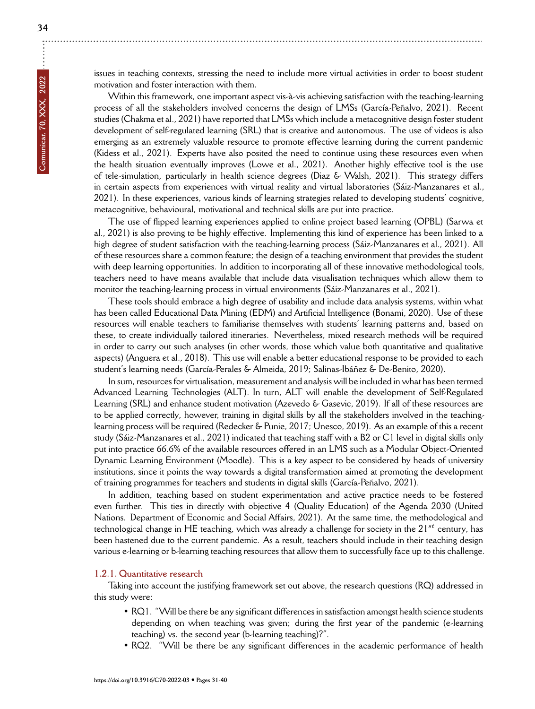issues in teaching contexts, stressing the need to include more virtual activities in order to boost student motivation and foster interaction with them.

Within this framework, one important aspect vis-à-vis achieving satisfaction with the teaching-learning process of all the stakeholders involved concerns the design of LMSs (García-Peñalvo, 2021). Recent studies (Chakma et al., 2021) have reported that LMSs which include a metacognitive design foster student development of self-regulated learning (SRL) that is creative and autonomous. The use of videos is also emerging as an extremely valuable resource to promote effective learning during the current pandemic (Kidess et al., 2021). Experts have also posited the need to continue using these resources even when the health situation eventually improves (Lowe et al., 2021). Another highly effective tool is the use of tele-simulation, particularly in health science degrees (Diaz & Walsh, 2021). This strategy differs in certain aspects from experiences with virtual reality and virtual laboratories (Sáiz-Manzanares et al., 2021). In these experiences, various kinds of learning strategies related to developing students' cognitive, metacognitive, behavioural, motivational and technical skills are put into practice.

The use of flipped learning experiences applied to online project based learning (OPBL) (Sarwa et al., 2021) is also proving to be highly effective. Implementing this kind of experience has been linked to a high degree of student satisfaction with the teaching-learning process (Sáiz-Manzanares et al., 2021). All of these resources share a common feature; the design of a teaching environment that provides the student with deep learning opportunities. In addition to incorporating all of these innovative methodological tools, teachers need to have means available that include data visualisation techniques which allow them to monitor the teaching-learning process in virtual environments (Sáiz-Manzanares et al., 2021).

These tools should embrace a high degree of usability and include data analysis systems, within what has been called Educational Data Mining (EDM) and Artificial Intelligence (Bonami, 2020). Use of these resources will enable teachers to familiarise themselves with students' learning patterns and, based on these, to create individually tailored itineraries. Nevertheless, mixed research methods will be required in order to carry out such analyses (in other words, those which value both quantitative and qualitative aspects) (Anguera et al., 2018). This use will enable a better educational response to be provided to each student's learning needs (García-Perales & Almeida, 2019; Salinas-Ibáñez & De-Benito, 2020).

In sum, resources for virtualisation, measurement and analysis will be included in what has been termed Advanced Learning Technologies (ALT). In turn, ALT will enable the development of Self-Regulated Learning (SRL) and enhance student motivation (Azevedo & Gasevic, 2019). If all of these resources are to be applied correctly, however, training in digital skills by all the stakeholders involved in the teachinglearning process will be required (Redecker & Punie, 2017; Unesco, 2019). As an example of this a recent study (Sáiz-Manzanares et al., 2021) indicated that teaching staff with a B2 or C1 level in digital skills only put into practice 66.6% of the available resources offered in an LMS such as a Modular Object-Oriented Dynamic Learning Environment (Moodle). This is a key aspect to be considered by heads of university institutions, since it points the way towards a digital transformation aimed at promoting the development of training programmes for teachers and students in digital skills (García-Peñalvo, 2021).

In addition, teaching based on student experimentation and active practice needs to be fostered even further. This ties in directly with objective 4 (Quality Education) of the Agenda 2030 (United Nations. Department of Economic and Social Affairs, 2021). At the same time, the methodological and technological change in HE teaching, which was already a challenge for society in the 21*st* century, has been hastened due to the current pandemic. As a result, teachers should include in their teaching design various e-learning or b-learning teaching resources that allow them to successfully face up to this challenge.

### **1.2.1. Quantitative research**

Taking into account the justifying framework set out above, the research questions (RQ) addressed in this study were:

- RQ1. "Will be there be any significant differences in satisfaction amongst health science students depending on when teaching was given; during the first year of the pandemic (e-learning teaching) vs. the second year (b-learning teaching)?".
- RQ2. "Will be there be any significant differences in the academic performance of health

÷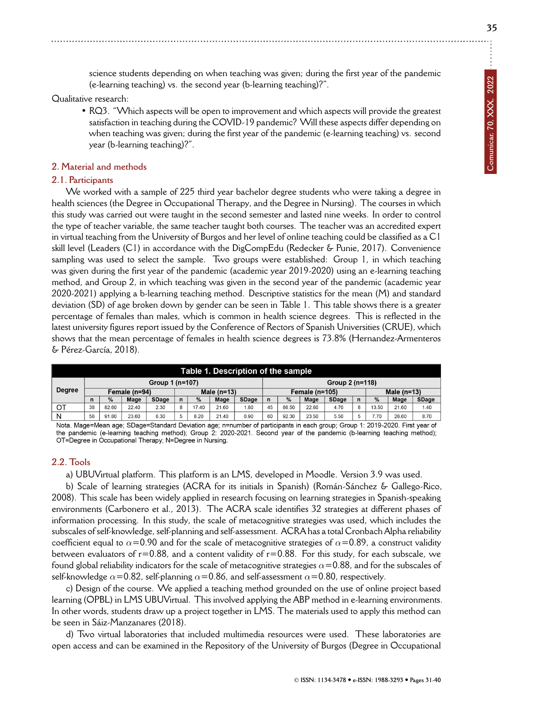**35**

science students depending on when teaching was given; during the first year of the pandemic (e-learning teaching) vs. the second year (b-learning teaching)?".

Qualitative research:

• RQ3. "Which aspects will be open to improvement and which aspects will provide the greatest satisfaction in teaching during the COVID-19 pandemic? Will these aspects differ depending on when teaching was given; during the first year of the pandemic (e-learning teaching) vs. second year (b-learning teaching)?".

### **2. Material and methods**

### **2.1. Participants**

We worked with a sample of 225 third year bachelor degree students who were taking a degree in health sciences (the Degree in Occupational Therapy, and the Degree in Nursing). The courses in which this study was carried out were taught in the second semester and lasted nine weeks. In order to control the type of teacher variable, the same teacher taught both courses. The teacher was an accredited expert in virtual teaching from the University of Burgos and her level of online teaching could be classified as a C1 skill level (Leaders (C1) in accordance with the DigCompEdu (Redecker & Punie, 2017). Convenience sampling was used to select the sample. Two groups were established: Group 1, in which teaching was given during the first year of the pandemic (academic year 2019-2020) using an e-learning teaching method, and Group 2, in which teaching was given in the second year of the pandemic (academic year 2020-2021) applying a b-learning teaching method. Descriptive statistics for the mean (M) and standard deviation (SD) of age broken down by gender can be seen in Table 1. This table shows there is a greater percentage of females than males, which is common in health science degrees. This is reflected in the latest university figures report issued by the Conference of Rectors of Spanish Universities (CRUE), which shows that the mean percentage of females in health science degrees is 73.8% (Hernandez-Armenteros & Pérez-García, 2018).

| Table 1. Description of the sample |                 |       |       |              |               |       |       |                  |                 |               |       |               |  |       |       |              |
|------------------------------------|-----------------|-------|-------|--------------|---------------|-------|-------|------------------|-----------------|---------------|-------|---------------|--|-------|-------|--------------|
| <b>Degree</b>                      | Group 1 (n=107) |       |       |              |               |       |       |                  | Group 2 (n=118) |               |       |               |  |       |       |              |
|                                    | Female (n=94)   |       |       |              | Male $(n=13)$ |       |       | Female $(n=105)$ |                 |               |       | Male $(n=13)$ |  |       |       |              |
|                                    |                 | %     | Mage  | <b>SDage</b> | n             | %     | Mage  | SDage            | $\mathbf n$     | $\frac{0}{0}$ | Mage  | <b>SDage</b>  |  | %     | Mage  | <b>SDage</b> |
| OT                                 | 38              | 82.60 | 22.40 | 2.30         | 8             | 17.40 | 21.60 | .80              | 45              | 86.50         | 22.60 | 4.70          |  | 13.50 | 21.60 | 1.40         |
| N                                  | 56              | 91.80 | 23.60 | 6.30         |               | 8.20  | 21.40 | 0.90             | 60              | 92.30         | 23.50 | 5.50          |  | 7.70  | 26.60 | 8.70         |
| .<br>$ -$<br>$\sim$ $\sim$         |                 |       |       |              |               |       |       |                  |                 |               |       |               |  |       |       |              |

Nota. Mage=Mean age; SDage=Standard Deviation age; n=number of participants in each group; Group 1: 2019-2020. First year of the pandemic (e-learning teaching method); Group 2: 2020-2021. Second year of the pandemic (b-learning teaching method); OT=Degree in Occupational Therapy; N=Degree in Nursing.

## **2.2. Tools**

a) UBUVirtual platform. This platform is an LMS, developed in Moodle. Version 3.9 was used.

b) Scale of learning strategies (ACRA for its initials in Spanish) (Román-Sánchez & Gallego-Rico, 2008). This scale has been widely applied in research focusing on learning strategies in Spanish-speaking environments (Carbonero et al., 2013). The ACRA scale identifies 32 strategies at different phases of information processing. In this study, the scale of metacognitive strategies was used, which includes the subscales of self-knowledge, self-planning and self-assessment. ACRA has a total Cronbach Alpha reliability coefficient equal to  $\alpha$ =0.90 and for the scale of metacognitive strategies of  $\alpha$ =0.89, a construct validity between evaluators of  $r=0.88$ , and a content validity of  $r=0.88$ . For this study, for each subscale, we found global reliability indicators for the scale of metacognitive strategies  $\alpha$ =0.88, and for the subscales of self-knowledge  $\alpha$ =0.82, self-planning  $\alpha$ =0.86, and self-assessment  $\alpha$ =0.80, respectively.

c) Design of the course. We applied a teaching method grounded on the use of online project based learning (OPBL) in LMS UBUVirtual. This involved applying the ABP method in e-learning environments. In other words, students draw up a project together in LMS. The materials used to apply this method can be seen in Sáiz-Manzanares (2018).

d) Two virtual laboratories that included multimedia resources were used. These laboratories are open access and can be examined in the Repository of the University of Burgos (Degree in Occupational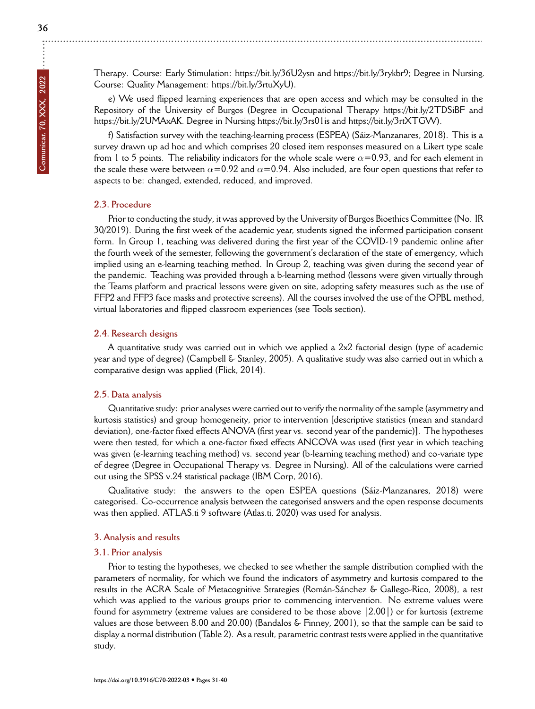÷

Therapy. Course: Early Stimulation: https://bit.ly/36U2ysn and https://bit.ly/3rykbr9; Degree in Nursing. Course: Quality Management: https://bit.ly/3rtuXyU).

e) We used flipped learning experiences that are open access and which may be consulted in the Repository of the University of Burgos (Degree in Occupational Therapy https://bit.ly/2TDSiBF and https://bit.ly/2UMAxAK. Degree in Nursing https://bit.ly/3rs01is and https://bit.ly/3rtXTGW).

f) Satisfaction survey with the teaching-learning process (ESPEA) (Sáiz-Manzanares, 2018). This is a survey drawn up ad hoc and which comprises 20 closed item responses measured on a Likert type scale from 1 to 5 points. The reliability indicators for the whole scale were  $\alpha$ =0.93, and for each element in the scale these were between  $\alpha$ =0.92 and  $\alpha$ =0.94. Also included, are four open questions that refer to aspects to be: changed, extended, reduced, and improved.

# **2.3. Procedure**

Prior to conducting the study, it was approved by the University of Burgos Bioethics Committee (No. IR 30/2019). During the first week of the academic year, students signed the informed participation consent form. In Group 1, teaching was delivered during the first year of the COVID-19 pandemic online after the fourth week of the semester, following the government's declaration of the state of emergency, which implied using an e-learning teaching method. In Group 2, teaching was given during the second year of the pandemic. Teaching was provided through a b-learning method (lessons were given virtually through the Teams platform and practical lessons were given on site, adopting safety measures such as the use of FFP2 and FFP3 face masks and protective screens). All the courses involved the use of the OPBL method, virtual laboratories and flipped classroom experiences (see Tools section).

# **2.4. Research designs**

A quantitative study was carried out in which we applied a 2x2 factorial design (type of academic year and type of degree) (Campbell & Stanley, 2005). A qualitative study was also carried out in which a comparative design was applied (Flick, 2014).

# **2.5. Data analysis**

Quantitative study: prior analyses were carried out to verify the normality of the sample (asymmetry and kurtosis statistics) and group homogeneity, prior to intervention [descriptive statistics (mean and standard deviation), one-factor fixed effects ANOVA (first year vs. second year of the pandemic)]. The hypotheses were then tested, for which a one-factor fixed effects ANCOVA was used (first year in which teaching was given (e-learning teaching method) vs. second year (b-learning teaching method) and co-variate type of degree (Degree in Occupational Therapy vs. Degree in Nursing). All of the calculations were carried out using the SPSS v.24 statistical package (IBM Corp, 2016).

Qualitative study: the answers to the open ESPEA questions (Sáiz-Manzanares, 2018) were categorised. Co-occurrence analysis between the categorised answers and the open response documents was then applied. ATLAS.ti 9 software (Atlas.ti, 2020) was used for analysis.

# **3. Analysis and results**

# **3.1. Prior analysis**

Prior to testing the hypotheses, we checked to see whether the sample distribution complied with the parameters of normality, for which we found the indicators of asymmetry and kurtosis compared to the results in the ACRA Scale of Metacognitive Strategies (Román-Sánchez & Gallego-Rico, 2008), a test which was applied to the various groups prior to commencing intervention. No extreme values were found for asymmetry (extreme values are considered to be those above |2.00|) or for kurtosis (extreme values are those between 8.00 and 20.00) (Bandalos & Finney, 2001), so that the sample can be said to display a normal distribution (Table 2). As a result, parametric contrast tests were applied in the quantitative study.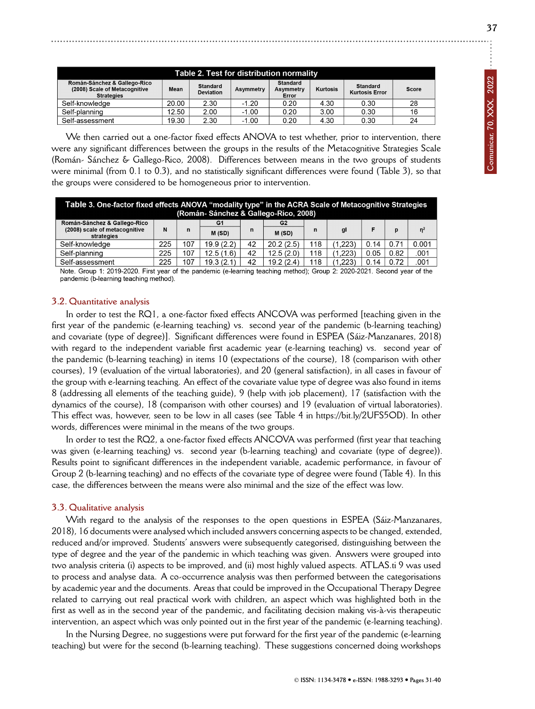| Table 2. Test for distribution normality                                           |       |                                                  |         |                                |                 |                                   |       |  |  |  |
|------------------------------------------------------------------------------------|-------|--------------------------------------------------|---------|--------------------------------|-----------------|-----------------------------------|-------|--|--|--|
| Román-Sánchez & Gallego-Rico<br>(2008) Scale of Metacognitive<br><b>Strategies</b> | Mean  | <b>Standard</b><br>Asymmetry<br><b>Deviation</b> |         | Standard<br>Asymmetry<br>Error | <b>Kurtosis</b> | Standard<br><b>Kurtosis Error</b> | Score |  |  |  |
| Self-knowledge                                                                     | 20.00 | 2.30                                             | $-1.20$ | 0.20                           | 4.30            | 0.30                              | 28    |  |  |  |
| Self-planning                                                                      | 12.50 | 2.00                                             | $-1.00$ | 0.20                           | 3.00            | 0.30                              | 16    |  |  |  |
| Self-assessment                                                                    | 19.30 | 2.30                                             | $-1.00$ | 0.20                           | 4.30            | 0.30                              | 24    |  |  |  |

We then carried out a one-factor fixed effects ANOVA to test whether, prior to intervention, there were any significant differences between the groups in the results of the Metacognitive Strategies Scale (Román- Sánchez & Gallego-Rico, 2008). Differences between means in the two groups of students were minimal (from 0.1 to 0.3), and no statistically significant differences were found (Table 3), so that the groups were considered to be homogeneous prior to intervention.

| Table 3. One-factor fixed effects ANOVA "modality type" in the ACRA Scale of Metacognitive Strategies<br>(Román-Sánchez & Gallego-Rico, 2008) |     |     |           |    |                |     |         |      |      |                |  |
|-----------------------------------------------------------------------------------------------------------------------------------------------|-----|-----|-----------|----|----------------|-----|---------|------|------|----------------|--|
| Román-Sánchez & Gallego-Rico                                                                                                                  |     | n   | G1        | n  | G <sub>2</sub> | n   | gl      |      | D    | n <sup>2</sup> |  |
| (2008) scale of metacognitive<br>strategies                                                                                                   | N   |     | M(SD)     |    | M(SD)          |     |         |      |      |                |  |
| Self-knowledge                                                                                                                                | 225 | 107 | 19.9(2.2) | 42 | 20.2(2.5)      | 118 | (1.223) | 0.14 | 0.71 | 0.001          |  |
| Self-planning                                                                                                                                 | 225 | 107 | 12.5(1.6) | 42 | 12.5(2.0)      | 118 | (1.223) | 0.05 | 0.82 | .001           |  |
| Self-assessment                                                                                                                               | 225 | 107 | 19.3(2.1) | 42 | 19.2(2.4)      | 118 | (1.223) | 0.14 | 0.72 | .001           |  |

Note. Group 1: 2019-2020. First year of the pandemic (e-learning teaching method); Group 2: 2020-2021. Second year of the pandemic (b-learning teaching method).

### **3.2. Quantitative analysis**

In order to test the RQ1, a one-factor fixed effects ANCOVA was performed [teaching given in the first year of the pandemic (e-learning teaching) vs. second year of the pandemic (b-learning teaching) and covariate (type of degree)]. Significant differences were found in ESPEA (Sáiz-Manzanares, 2018) with regard to the independent variable first academic year (e-learning teaching) vs. second year of the pandemic (b-learning teaching) in items 10 (expectations of the course), 18 (comparison with other courses), 19 (evaluation of the virtual laboratories), and 20 (general satisfaction), in all cases in favour of the group with e-learning teaching. An effect of the covariate value type of degree was also found in items 8 (addressing all elements of the teaching guide), 9 (help with job placement), 17 (satisfaction with the dynamics of the course), 18 (comparison with other courses) and 19 (evaluation of virtual laboratories). This effect was, however, seen to be low in all cases (see Table 4 in https://bit.ly/2UFS5OD). In other words, differences were minimal in the means of the two groups.

In order to test the RQ2, a one-factor fixed effects ANCOVA was performed (first year that teaching was given (e-learning teaching) vs. second year (b-learning teaching) and covariate (type of degree)). Results point to significant differences in the independent variable, academic performance, in favour of Group 2 (b-learning teaching) and no effects of the covariate type of degree were found (Table 4). In this case, the differences between the means were also minimal and the size of the effect was low.

### **3.3. Qualitative analysis**

With regard to the analysis of the responses to the open questions in ESPEA (Sáiz-Manzanares, 2018), 16 documents were analysed which included answers concerning aspects to be changed, extended, reduced and/or improved. Students' answers were subsequently categorised, distinguishing between the type of degree and the year of the pandemic in which teaching was given. Answers were grouped into two analysis criteria (i) aspects to be improved, and (ii) most highly valued aspects. ATLAS.ti 9 was used to process and analyse data. A co-occurrence analysis was then performed between the categorisations by academic year and the documents. Areas that could be improved in the Occupational Therapy Degree related to carrying out real practical work with children, an aspect which was highlighted both in the first as well as in the second year of the pandemic, and facilitating decision making vis-à-vis therapeutic intervention, an aspect which was only pointed out in the first year of the pandemic (e-learning teaching).

In the Nursing Degree, no suggestions were put forward for the first year of the pandemic (e-learning teaching) but were for the second (b-learning teaching). These suggestions concerned doing workshops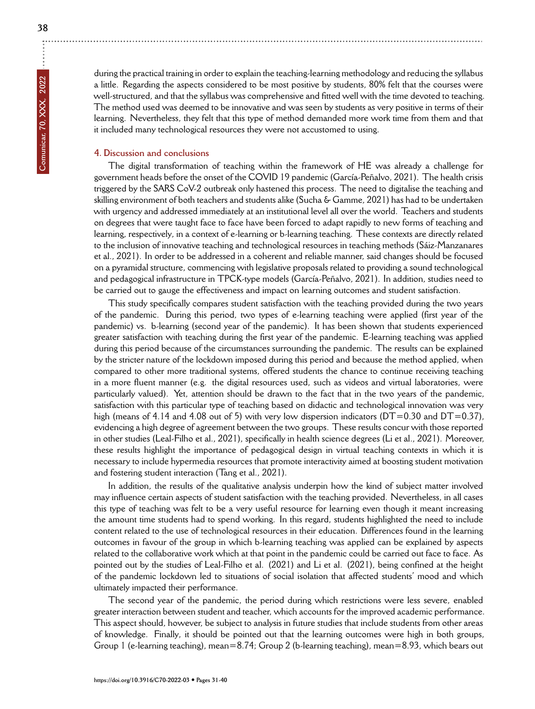during the practical training in order to explain the teaching-learning methodology and reducing the syllabus a little. Regarding the aspects considered to be most positive by students, 80% felt that the courses were well-structured, and that the syllabus was comprehensive and fitted well with the time devoted to teaching. The method used was deemed to be innovative and was seen by students as very positive in terms of their learning. Nevertheless, they felt that this type of method demanded more work time from them and that it included many technological resources they were not accustomed to using.

### **4. Discussion and conclusions**

The digital transformation of teaching within the framework of HE was already a challenge for government heads before the onset of the COVID 19 pandemic (García-Peñalvo, 2021). The health crisis triggered by the SARS CoV-2 outbreak only hastened this process. The need to digitalise the teaching and skilling environment of both teachers and students alike (Sucha & Gamme, 2021) has had to be undertaken with urgency and addressed immediately at an institutional level all over the world. Teachers and students on degrees that were taught face to face have been forced to adapt rapidly to new forms of teaching and learning, respectively, in a context of e-learning or b-learning teaching. These contexts are directly related to the inclusion of innovative teaching and technological resources in teaching methods (Sáiz-Manzanares et al., 2021). In order to be addressed in a coherent and reliable manner, said changes should be focused on a pyramidal structure, commencing with legislative proposals related to providing a sound technological and pedagogical infrastructure in TPCK-type models (García-Peñalvo, 2021). In addition, studies need to be carried out to gauge the effectiveness and impact on learning outcomes and student satisfaction.

This study specifically compares student satisfaction with the teaching provided during the two years of the pandemic. During this period, two types of e-learning teaching were applied (first year of the pandemic) vs. b-learning (second year of the pandemic). It has been shown that students experienced greater satisfaction with teaching during the first year of the pandemic. E-learning teaching was applied during this period because of the circumstances surrounding the pandemic. The results can be explained by the stricter nature of the lockdown imposed during this period and because the method applied, when compared to other more traditional systems, offered students the chance to continue receiving teaching in a more fluent manner (e.g. the digital resources used, such as videos and virtual laboratories, were particularly valued). Yet, attention should be drawn to the fact that in the two years of the pandemic, satisfaction with this particular type of teaching based on didactic and technological innovation was very high (means of 4.14 and 4.08 out of 5) with very low dispersion indicators ( $DT=0.30$  and  $DT=0.37$ ), evidencing a high degree of agreement between the two groups. These results concur with those reported in other studies (Leal-Filho et al., 2021), specifically in health science degrees (Li et al., 2021). Moreover, these results highlight the importance of pedagogical design in virtual teaching contexts in which it is necessary to include hypermedia resources that promote interactivity aimed at boosting student motivation and fostering student interaction (Tang et al., 2021).

In addition, the results of the qualitative analysis underpin how the kind of subject matter involved may influence certain aspects of student satisfaction with the teaching provided. Nevertheless, in all cases this type of teaching was felt to be a very useful resource for learning even though it meant increasing the amount time students had to spend working. In this regard, students highlighted the need to include content related to the use of technological resources in their education. Differences found in the learning outcomes in favour of the group in which b-learning teaching was applied can be explained by aspects related to the collaborative work which at that point in the pandemic could be carried out face to face. As pointed out by the studies of Leal-Filho et al. (2021) and Li et al. (2021), being confined at the height of the pandemic lockdown led to situations of social isolation that affected students' mood and which ultimately impacted their performance.

The second year of the pandemic, the period during which restrictions were less severe, enabled greater interaction between student and teacher, which accounts for the improved academic performance. This aspect should, however, be subject to analysis in future studies that include students from other areas of knowledge. Finally, it should be pointed out that the learning outcomes were high in both groups, Group 1 (e-learning teaching), mean=8.74; Group 2 (b-learning teaching), mean=8.93, which bears out

÷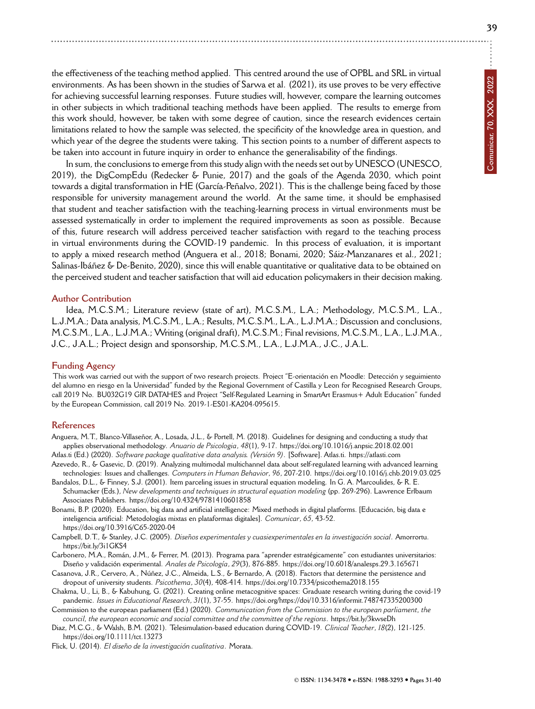the effectiveness of the teaching method applied. This centred around the use of OPBL and SRL in virtual environments. As has been shown in the studies of Sarwa et al. (2021), its use proves to be very effective for achieving successful learning responses. Future studies will, however, compare the learning outcomes in other subjects in which traditional teaching methods have been applied. The results to emerge from this work should, however, be taken with some degree of caution, since the research evidences certain limitations related to how the sample was selected, the specificity of the knowledge area in question, and which year of the degree the students were taking. This section points to a number of different aspects to be taken into account in future inquiry in order to enhance the generalisability of the findings.

In sum, the conclusions to emerge from this study align with the needs set out by UNESCO (UNESCO, 2019), the DigCompEdu (Redecker & Punie, 2017) and the goals of the Agenda 2030, which point towards a digital transformation in HE (García-Peñalvo, 2021). This is the challenge being faced by those responsible for university management around the world. At the same time, it should be emphasised that student and teacher satisfaction with the teaching-learning process in virtual environments must be assessed systematically in order to implement the required improvements as soon as possible. Because of this, future research will address perceived teacher satisfaction with regard to the teaching process in virtual environments during the COVID-19 pandemic. In this process of evaluation, it is important to apply a mixed research method (Anguera et al., 2018; Bonami, 2020; Sáiz-Manzanares et al., 2021; Salinas-Ibáñez & De-Benito, 2020), since this will enable quantitative or qualitative data to be obtained on the perceived student and teacher satisfaction that will aid education policymakers in their decision making.

### **Author Contribution**

Idea, M.C.S.M.; Literature review (state of art), M.C.S.M., L.A.; Methodology, M.C.S.M., L.A., L.J.M.A.; Data analysis, M.C.S.M., L.A.; Results, M.C.S.M., L.A., L.J.M.A.; Discussion and conclusions, M.C.S.M., L.A., L.J.M.A.; Writing (original draft), M.C.S.M.; Final revisions, M.C.S.M., L.A., L.J.M.A., J.C., J.A.L.; Project design and sponsorship, M.C.S.M., L.A., L.J.M.A., J.C., J.A.L.

### **Funding Agency**

This work was carried out with the support of two research projects. Project "E-orientación en Moodle: Detección y seguimiento del alumno en riesgo en la Universidad" funded by the Regional Government of Castilla y Leon for Recognised Research Groups, call 2019 No. BU032G19 GIR DATAHES and Project "Self-Regulated Learning in SmartArt Erasmus+ Adult Education" funded by the European Commission, call 2019 No. 2019-1-ES01-KA204-095615.

#### **References**

- Anguera, M.T., Blanco-Villaseñor, A., Losada, J.L., & Portell, M. (2018). Guidelines for designing and conducting a study that applies observational methodology. *Anuario de Psicologia*, *48*(1), 9-17.<https://doi.org/10.1016/j.anpsic.2018.02.001>
- Atlas.ti (Ed.) (2020). *Software package qualitative data analysis. (Versión 9)*. [Software]. Atlas.ti.<https://atlasti.com> Azevedo, R., & Gasevic, D. (2019). Analyzing multimodal multichannel data about self-regulated learning with advanced learning
- technologies: Issues and challenges. *Computers in Human Behavior*, *96*, 207-210.<https://doi.org/10.1016/j.chb.2019.03.025> Bandalos, D.L., & Finney, S.J. (2001). Item parceling issues in structural equation modeling. In G. A. Marcoulides, & R. E.
- Schumacker (Eds.), *New developments and techniques in structural equation modeling* (pp. 269-296). Lawrence Erlbaum Associates Publishers.<https://doi.org/10.4324/9781410601858>
- Bonami, B.P. (2020). Education, big data and artificial intelligence: Mixed methods in digital platforms. [Educación, big data e inteligencia artificial: Metodologías mixtas en plataformas digitales]. *Comunicar*, *65*, 43-52. <https://doi.org/10.3916/C65-2020-04>
- Campbell, D.T., & Stanley, J.C. (2005). *Diseños experimentales y cuasiexperimentales en la investigación social*. Amorrortu. <https://bit.ly/3i1GKS4>
- Carbonero, M.A., Román, J.M., & Ferrer, M. (2013). Programa para "aprender estratégicamente" con estudiantes universitarios: Diseño y validación experimental. *Anales de Psicología*, *29*(3), 876-885.<https://doi.org/10.6018/analesps.29.3.165671>
- Casanova, J.R., Cervero, A., Núñez, J.C., Almeida, L.S., & Bernardo, A. (2018). Factors that determine the persistence and dropout of university students. *Psicothema*, *30*(4), 408-414.<https://doi.org/10.7334/psicothema2018.155>
- Chakma, U., Li, B., & Kabuhung, G. (2021). Creating online metacognitive spaces: Graduate research writing during the covid-19 pandemic. *Issues in Educational Research*, *31*(1), 37-55.<https://doi.org/https://doi/10.3316/informit.748747335200300>
- Commission to the european parliament (Ed.) (2020). *Communication from the Commission to the european parliament, the council, the european economic and social committee and the committee of the regions*.<https://bit.ly/3kwseDh>
- Diaz, M.C.G., & Walsh, B.M. (2021). Telesimulation-based education during COVID-19. *Clinical Teacher*, *18*(2), 121-125. <https://doi.org/10.1111/tct.13273>
- Flick, U. (2014). *El diseño de la investigación cualitativa*. Morata.